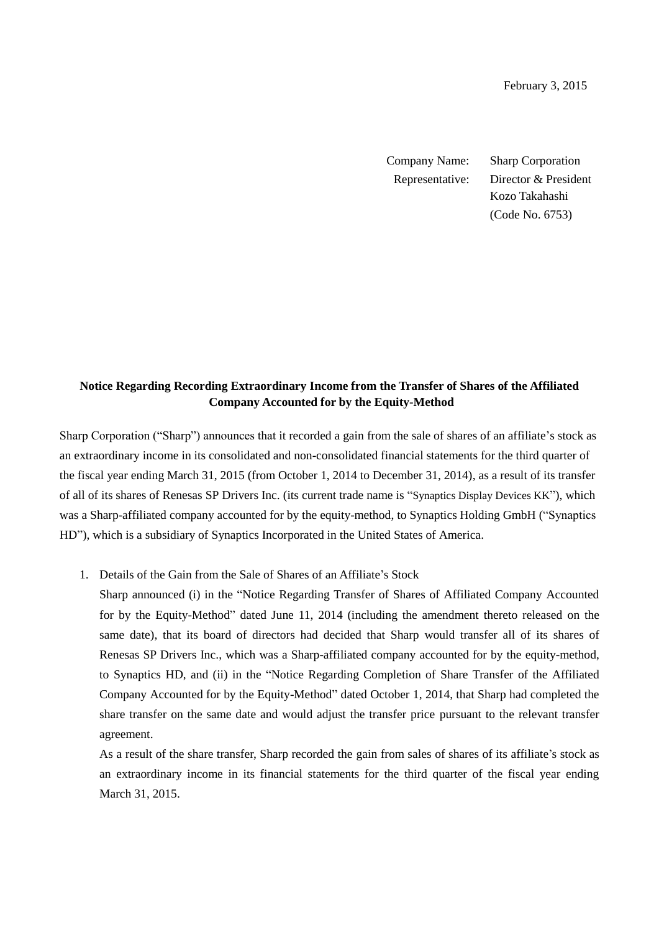Company Name: Sharp Corporation Representative: Director & President Kozo Takahashi (Code No. 6753)

## **Notice Regarding Recording Extraordinary Income from the Transfer of Shares of the Affiliated Company Accounted for by the Equity-Method**

Sharp Corporation ("Sharp") announces that it recorded a gain from the sale of shares of an affiliate's stock as an extraordinary income in its consolidated and non-consolidated financial statements for the third quarter of the fiscal year ending March 31, 2015 (from October 1, 2014 to December 31, 2014), as a result of its transfer of all of its shares of Renesas SP Drivers Inc. (its current trade name is "Synaptics Display Devices KK"), which was a Sharp-affiliated company accounted for by the equity-method, to Synaptics Holding GmbH ("Synaptics HD"), which is a subsidiary of Synaptics Incorporated in the United States of America.

1. Details of the Gain from the Sale of Shares of an Affiliate's Stock

Sharp announced (i) in the "Notice Regarding Transfer of Shares of Affiliated Company Accounted for by the Equity-Method" dated June 11, 2014 (including the amendment thereto released on the same date), that its board of directors had decided that Sharp would transfer all of its shares of Renesas SP Drivers Inc., which was a Sharp-affiliated company accounted for by the equity-method, to Synaptics HD, and (ii) in the "Notice Regarding Completion of Share Transfer of the Affiliated Company Accounted for by the Equity-Method" dated October 1, 2014, that Sharp had completed the share transfer on the same date and would adjust the transfer price pursuant to the relevant transfer agreement.

As a result of the share transfer, Sharp recorded the gain from sales of shares of its affiliate's stock as an extraordinary income in its financial statements for the third quarter of the fiscal year ending March 31, 2015.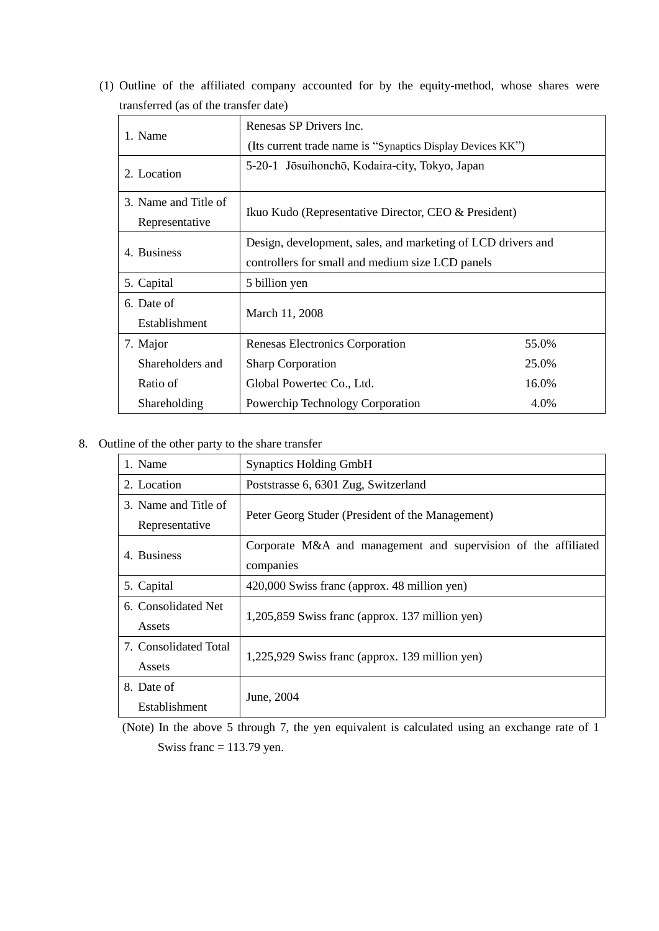(1) Outline of the affiliated company accounted for by the equity-method, whose shares were transferred (as of the transfer date)

|                      | Renesas SP Drivers Inc.                                      |       |
|----------------------|--------------------------------------------------------------|-------|
| 1. Name              | (Its current trade name is "Synaptics Display Devices KK")   |       |
| 2. Location          | 5-20-1 Jōsuihonchō, Kodaira-city, Tokyo, Japan               |       |
| 3. Name and Title of | Ikuo Kudo (Representative Director, CEO & President)         |       |
| Representative       |                                                              |       |
| 4. Business          | Design, development, sales, and marketing of LCD drivers and |       |
|                      | controllers for small and medium size LCD panels             |       |
| 5. Capital           | 5 billion yen                                                |       |
| 6. Date of           |                                                              |       |
| Establishment        | March 11, 2008                                               |       |
| 7. Major             | Renesas Electronics Corporation                              | 55.0% |
| Shareholders and     | <b>Sharp Corporation</b>                                     | 25.0% |
| Ratio of             | Global Powertec Co., Ltd.                                    | 16.0% |
| Shareholding         | Powerchip Technology Corporation                             | 4.0%  |

8. Outline of the other party to the share transfer

| 1. Name               | <b>Synaptics Holding GmbH</b>                                  |  |  |
|-----------------------|----------------------------------------------------------------|--|--|
| 2. Location           | Poststrasse 6, 6301 Zug, Switzerland                           |  |  |
| 3. Name and Title of  | Peter Georg Studer (President of the Management)               |  |  |
| Representative        |                                                                |  |  |
| 4. Business           | Corporate M&A and management and supervision of the affiliated |  |  |
|                       | companies                                                      |  |  |
| 5. Capital            | 420,000 Swiss franc (approx. 48 million yen)                   |  |  |
| 6. Consolidated Net   |                                                                |  |  |
| Assets                | 1,205,859 Swiss franc (approx. 137 million yen)                |  |  |
| 7. Consolidated Total |                                                                |  |  |
| Assets                | 1,225,929 Swiss franc (approx. 139 million yen)                |  |  |
| 8. Date of            |                                                                |  |  |
| Establishment         | June, 2004                                                     |  |  |

(Note) In the above 5 through 7, the yen equivalent is calculated using an exchange rate of 1 Swiss franc  $= 113.79$  yen.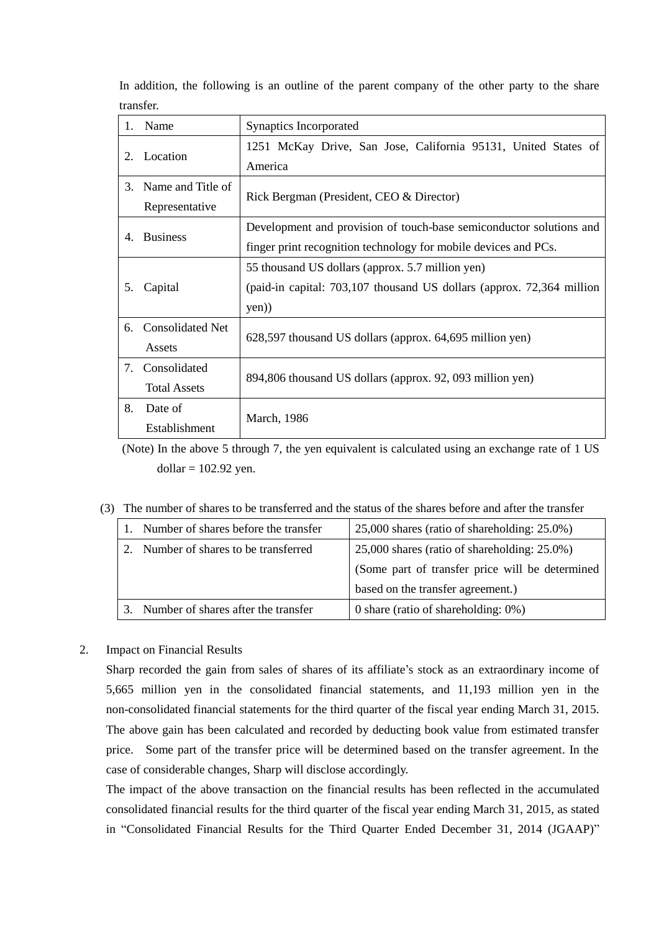| $1_{-}$ | Name                                             | Synaptics Incorporated                                                |  |
|---------|--------------------------------------------------|-----------------------------------------------------------------------|--|
| 2.      | Location                                         | 1251 McKay Drive, San Jose, California 95131, United States of        |  |
|         |                                                  | America                                                               |  |
| $3_{-}$ | Name and Title of                                | Rick Bergman (President, CEO & Director)                              |  |
|         | Representative                                   |                                                                       |  |
| 4.      | <b>Business</b>                                  | Development and provision of touch-base semiconductor solutions and   |  |
|         |                                                  | finger print recognition technology for mobile devices and PCs.       |  |
|         | 55 thousand US dollars (approx. 5.7 million yen) |                                                                       |  |
| 5.      | Capital                                          | (paid-in capital: 703,107 thousand US dollars (approx. 72,364 million |  |
|         |                                                  | yen)                                                                  |  |
| 6.      | <b>Consolidated Net</b>                          |                                                                       |  |
|         | Assets                                           | 628,597 thousand US dollars (approx. 64,695 million yen)              |  |
| 7.      | Consolidated                                     |                                                                       |  |
|         | <b>Total Assets</b>                              | 894,806 thousand US dollars (approx. 92, 093 million yen)             |  |
| 8.      | Date of                                          | March, 1986                                                           |  |
|         | Establishment                                    |                                                                       |  |

In addition, the following is an outline of the parent company of the other party to the share transfer.

(Note) In the above 5 through 7, the yen equivalent is calculated using an exchange rate of 1 US  $dollar = 102.92$  yen.

## (3) The number of shares to be transferred and the status of the shares before and after the transfer

|  | Number of shares before the transfer | 25,000 shares (ratio of shareholding: 25.0%)    |
|--|--------------------------------------|-------------------------------------------------|
|  | Number of shares to be transferred   | 25,000 shares (ratio of shareholding: 25.0%)    |
|  |                                      | (Some part of transfer price will be determined |
|  |                                      | based on the transfer agreement.)               |
|  | Number of shares after the transfer  | 0 share (ratio of shareholding: $0\%$ )         |

## 2. Impact on Financial Results

Sharp recorded the gain from sales of shares of its affiliate's stock as an extraordinary income of 5,665 million yen in the consolidated financial statements, and 11,193 million yen in the non-consolidated financial statements for the third quarter of the fiscal year ending March 31, 2015. The above gain has been calculated and recorded by deducting book value from estimated transfer price. Some part of the transfer price will be determined based on the transfer agreement. In the case of considerable changes, Sharp will disclose accordingly.

The impact of the above transaction on the financial results has been reflected in the accumulated consolidated financial results for the third quarter of the fiscal year ending March 31, 2015, as stated in "Consolidated Financial Results for the Third Quarter Ended December 31, 2014 (JGAAP)"